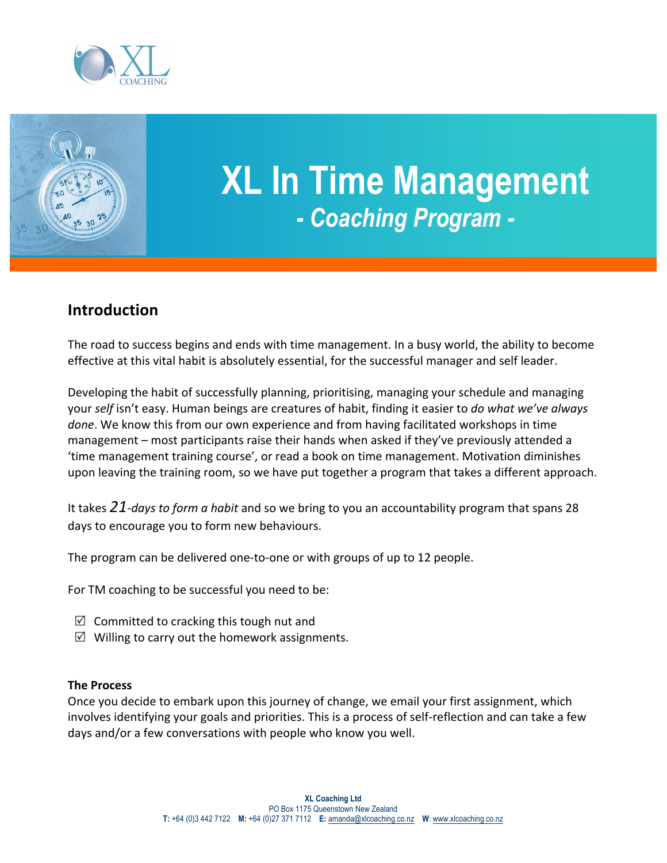



## **XL In Time Management** *- Coaching Program -*

## **Introduction**

The road to success begins and ends with time management. In a busy world, the ability to become effective at this vital habit is absolutely essential, for the successful manager and self leader.

Developing the habit of successfully planning, prioritising, managing your schedule and managing your *self* isn't easy. Human beings are creatures of habit, finding it easier to *do what we've always done*. We know this from our own experience and from having facilitated workshops in time management – most participants raise their hands when asked if they've previously attended a 'time management training course', or read a book on time management. Motivation diminishes upon leaving the training room, so we have put together a program that takes a different approach.

It takes 21-days to form a habit and so we bring to you an accountability program that spans 28 days to encourage you to form new behaviours.

The program can be delivered one-to-one or with groups of up to 12 people.

For TM coaching to be successful you need to be:

- $\boxtimes$  Committed to cracking this tough nut and
- $\boxtimes$  Willing to carry out the homework assignments.

## **The Process**

Once you decide to embark upon this journey of change, we email your first assignment, which involves identifying your goals and priorities. This is a process of self-reflection and can take a few days and/or a few conversations with people who know you well.